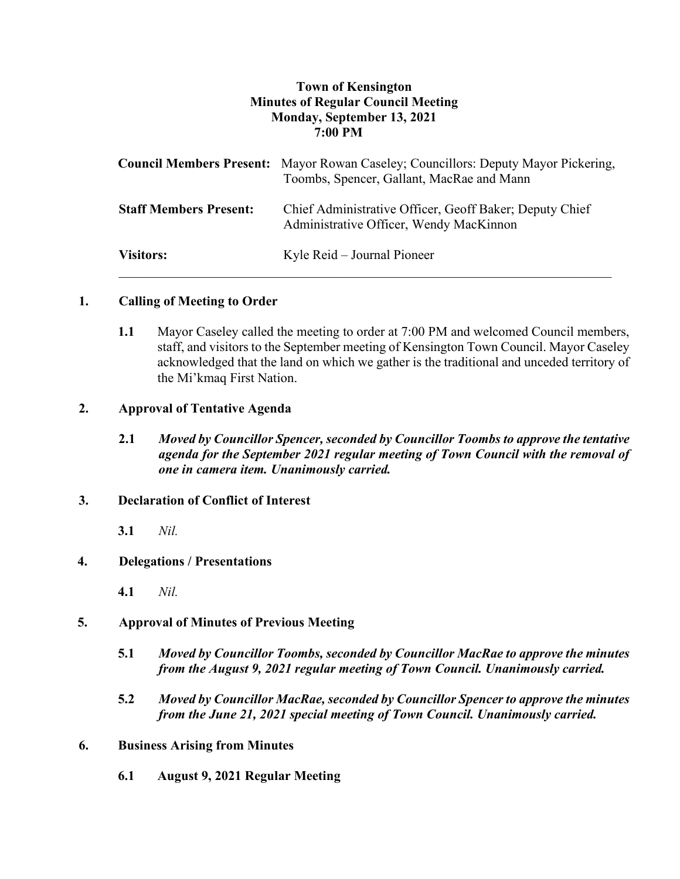# **Town of Kensington Minutes of Regular Council Meeting Monday, September 13, 2021 7:00 PM**

|                               | <b>Council Members Present:</b> Mayor Rowan Caseley; Councillors: Deputy Mayor Pickering,<br>Toombs, Spencer, Gallant, MacRae and Mann |
|-------------------------------|----------------------------------------------------------------------------------------------------------------------------------------|
| <b>Staff Members Present:</b> | Chief Administrative Officer, Geoff Baker; Deputy Chief<br>Administrative Officer, Wendy MacKinnon                                     |
| <b>Visitors:</b>              | Kyle Reid – Journal Pioneer                                                                                                            |

# **1. Calling of Meeting to Order**

**1.1** Mayor Caseley called the meeting to order at 7:00 PM and welcomed Council members, staff, and visitors to the September meeting of Kensington Town Council. Mayor Caseley acknowledged that the land on which we gather is the traditional and unceded territory of the Mi'kmaq First Nation.

## **2. Approval of Tentative Agenda**

**2.1** *Moved by Councillor Spencer, seconded by Councillor Toombs to approve the tentative agenda for the September 2021 regular meeting of Town Council with the removal of one in camera item. Unanimously carried.*

# **3. Declaration of Conflict of Interest**

**3.1** *Nil.*

# **4. Delegations / Presentations**

**4.1** *Nil.*

# **5. Approval of Minutes of Previous Meeting**

- **5.1** *Moved by Councillor Toombs, seconded by Councillor MacRae to approve the minutes from the August 9, 2021 regular meeting of Town Council. Unanimously carried.*
- **5.2** *Moved by Councillor MacRae, seconded by Councillor Spencer to approve the minutes from the June 21, 2021 special meeting of Town Council. Unanimously carried.*

### **6. Business Arising from Minutes**

**6.1 August 9, 2021 Regular Meeting**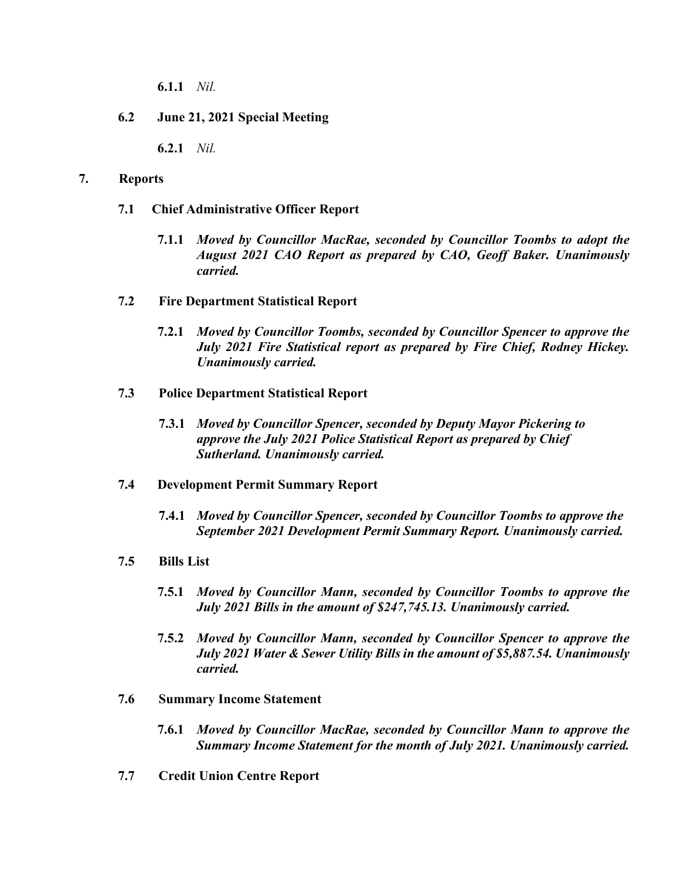**6.1.1** *Nil.*

# **6.2 June 21, 2021 Special Meeting**

**6.2.1** *Nil.*

### **7. Reports**

- **7.1 Chief Administrative Officer Report**
	- **7.1.1** *Moved by Councillor MacRae, seconded by Councillor Toombs to adopt the August 2021 CAO Report as prepared by CAO, Geoff Baker. Unanimously carried.*

### **7.2 Fire Department Statistical Report**

- **7.2.1** *Moved by Councillor Toombs, seconded by Councillor Spencer to approve the July 2021 Fire Statistical report as prepared by Fire Chief, Rodney Hickey. Unanimously carried.*
- **7.3 Police Department Statistical Report**
	- **7.3.1** *Moved by Councillor Spencer, seconded by Deputy Mayor Pickering to approve the July 2021 Police Statistical Report as prepared by Chief Sutherland. Unanimously carried.*

### **7.4 Development Permit Summary Report**

**7.4.1** *Moved by Councillor Spencer, seconded by Councillor Toombs to approve the September 2021 Development Permit Summary Report. Unanimously carried.*

# **7.5 Bills List**

- **7.5.1** *Moved by Councillor Mann, seconded by Councillor Toombs to approve the July 2021 Bills in the amount of \$247,745.13. Unanimously carried.*
- **7.5.2** *Moved by Councillor Mann, seconded by Councillor Spencer to approve the July 2021 Water & Sewer Utility Bills in the amount of \$5,887.54. Unanimously carried.*
- **7.6 Summary Income Statement**
	- **7.6.1** *Moved by Councillor MacRae, seconded by Councillor Mann to approve the Summary Income Statement for the month of July 2021. Unanimously carried.*
- **7.7 Credit Union Centre Report**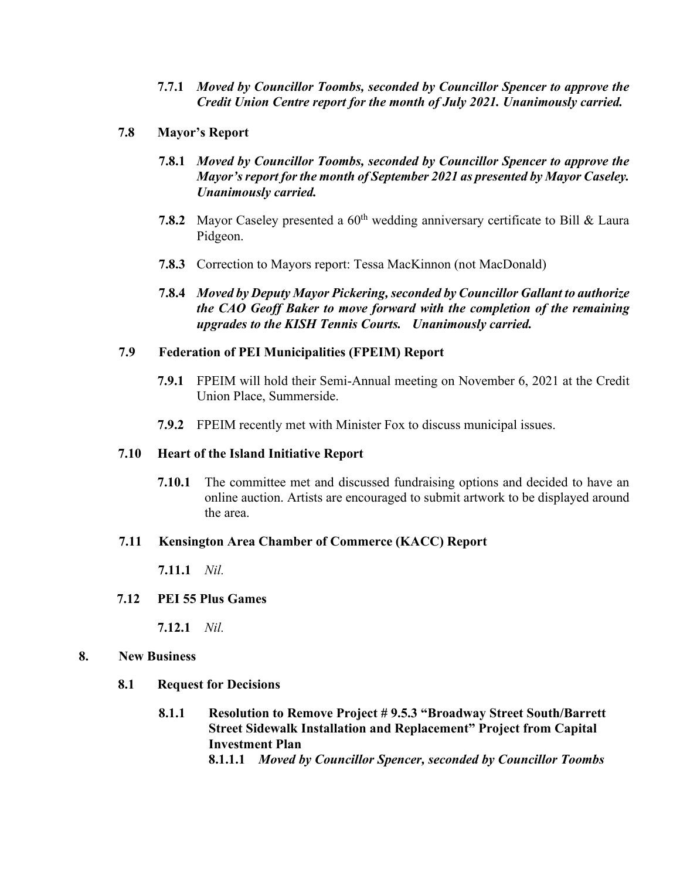- **7.7.1** *Moved by Councillor Toombs, seconded by Councillor Spencer to approve the Credit Union Centre report for the month of July 2021. Unanimously carried.*
- **7.8 Mayor's Report**
	- **7.8.1** *Moved by Councillor Toombs, seconded by Councillor Spencer to approve the Mayor's report for the month of September 2021 as presented by Mayor Caseley. Unanimously carried.*
	- **7.8.2** Mayor Caseley presented a 60<sup>th</sup> wedding anniversary certificate to Bill & Laura Pidgeon.
	- **7.8.3** Correction to Mayors report: Tessa MacKinnon (not MacDonald)
	- **7.8.4** *Moved by Deputy Mayor Pickering,seconded by Councillor Gallant to authorize the CAO Geoff Baker to move forward with the completion of the remaining upgrades to the KISH Tennis Courts. Unanimously carried.*

## **7.9 Federation of PEI Municipalities (FPEIM) Report**

- **7.9.1** FPEIM will hold their Semi-Annual meeting on November 6, 2021 at the Credit Union Place, Summerside.
- **7.9.2** FPEIM recently met with Minister Fox to discuss municipal issues.

### **7.10 Heart of the Island Initiative Report**

**7.10.1** The committee met and discussed fundraising options and decided to have an online auction. Artists are encouraged to submit artwork to be displayed around the area.

## **7.11 Kensington Area Chamber of Commerce (KACC) Report**

**7.11.1** *Nil.*

### **7.12 PEI 55 Plus Games**

**7.12.1** *Nil.*

### **8. New Business**

- **8.1 Request for Decisions**
	- **8.1.1 Resolution to Remove Project # 9.5.3 "Broadway Street South/Barrett Street Sidewalk Installation and Replacement" Project from Capital Investment Plan 8.1.1.1** *Moved by Councillor Spencer, seconded by Councillor Toombs*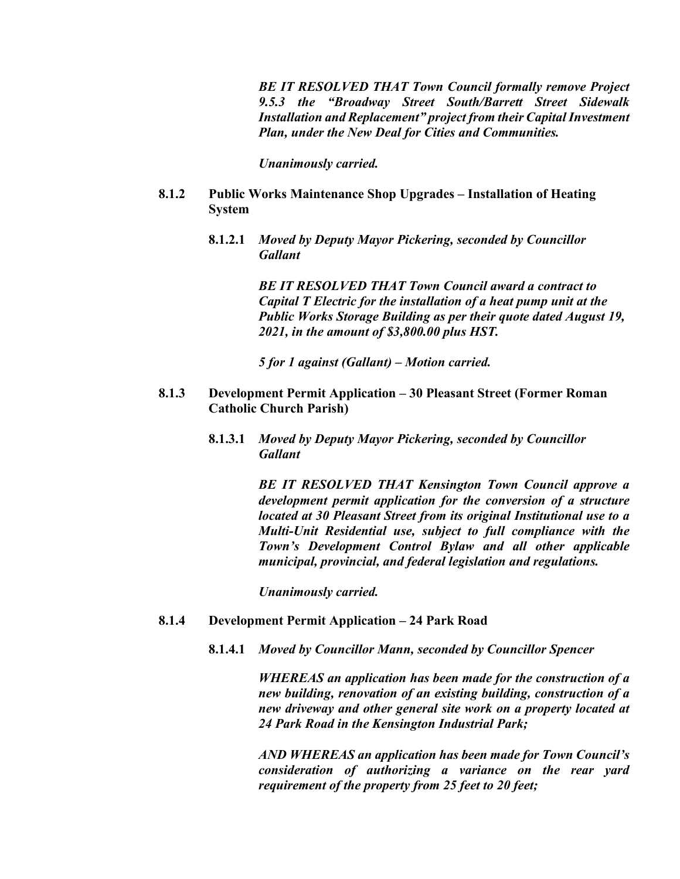*BE IT RESOLVED THAT Town Council formally remove Project 9.5.3 the "Broadway Street South/Barrett Street Sidewalk Installation and Replacement" project from their Capital Investment Plan, under the New Deal for Cities and Communities.* 

*Unanimously carried.* 

- **8.1.2 Public Works Maintenance Shop Upgrades – Installation of Heating System**
	- **8.1.2.1** *Moved by Deputy Mayor Pickering, seconded by Councillor Gallant*

*BE IT RESOLVED THAT Town Council award a contract to Capital T Electric for the installation of a heat pump unit at the Public Works Storage Building as per their quote dated August 19, 2021, in the amount of \$3,800.00 plus HST.* 

*5 for 1 against (Gallant) – Motion carried.*

- **8.1.3 Development Permit Application – 30 Pleasant Street (Former Roman Catholic Church Parish)**
	- **8.1.3.1** *Moved by Deputy Mayor Pickering, seconded by Councillor Gallant*

*BE IT RESOLVED THAT Kensington Town Council approve a development permit application for the conversion of a structure located at 30 Pleasant Street from its original Institutional use to a Multi-Unit Residential use, subject to full compliance with the Town's Development Control Bylaw and all other applicable municipal, provincial, and federal legislation and regulations.* 

*Unanimously carried.* 

- **8.1.4 Development Permit Application – 24 Park Road**
	- **8.1.4.1** *Moved by Councillor Mann, seconded by Councillor Spencer*

*WHEREAS an application has been made for the construction of a new building, renovation of an existing building, construction of a new driveway and other general site work on a property located at 24 Park Road in the Kensington Industrial Park;*

*AND WHEREAS an application has been made for Town Council's consideration of authorizing a variance on the rear yard requirement of the property from 25 feet to 20 feet;*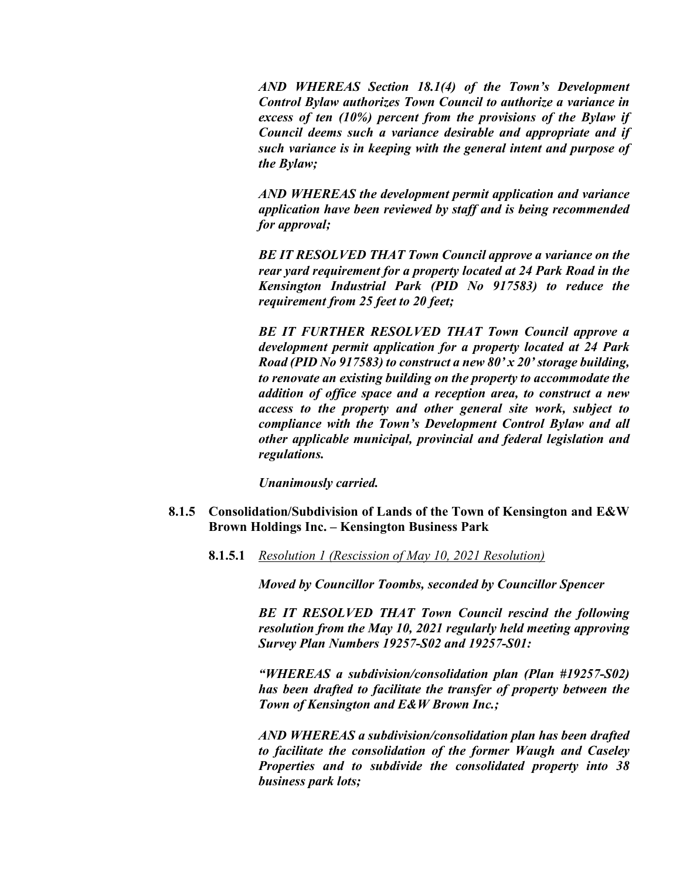*AND WHEREAS Section 18.1(4) of the Town's Development Control Bylaw authorizes Town Council to authorize a variance in excess of ten (10%) percent from the provisions of the Bylaw if Council deems such a variance desirable and appropriate and if such variance is in keeping with the general intent and purpose of the Bylaw;*

*AND WHEREAS the development permit application and variance application have been reviewed by staff and is being recommended for approval;*

*BE IT RESOLVED THAT Town Council approve a variance on the rear yard requirement for a property located at 24 Park Road in the Kensington Industrial Park (PID No 917583) to reduce the requirement from 25 feet to 20 feet;*

*BE IT FURTHER RESOLVED THAT Town Council approve a development permit application for a property located at 24 Park Road (PID No 917583) to construct a new 80' x 20' storage building, to renovate an existing building on the property to accommodate the addition of office space and a reception area, to construct a new access to the property and other general site work, subject to compliance with the Town's Development Control Bylaw and all other applicable municipal, provincial and federal legislation and regulations.* 

*Unanimously carried.* 

- **8.1.5 Consolidation/Subdivision of Lands of the Town of Kensington and E&W Brown Holdings Inc. – Kensington Business Park** 
	- **8.1.5.1** *Resolution 1 (Rescission of May 10, 2021 Resolution)*

*Moved by Councillor Toombs, seconded by Councillor Spencer*

*BE IT RESOLVED THAT Town Council rescind the following resolution from the May 10, 2021 regularly held meeting approving Survey Plan Numbers 19257-S02 and 19257-S01:*

*"WHEREAS a subdivision/consolidation plan (Plan #19257-S02) has been drafted to facilitate the transfer of property between the Town of Kensington and E&W Brown Inc.;* 

*AND WHEREAS a subdivision/consolidation plan has been drafted to facilitate the consolidation of the former Waugh and Caseley Properties and to subdivide the consolidated property into 38 business park lots;*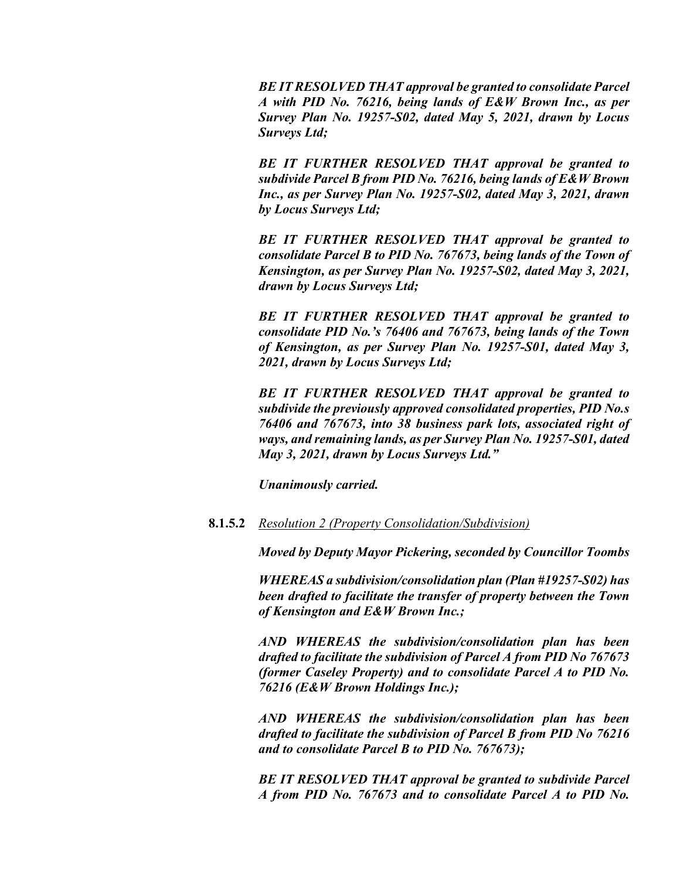*BE IT RESOLVED THAT approval be granted to consolidate Parcel A with PID No. 76216, being lands of E&W Brown Inc., as per Survey Plan No. 19257-S02, dated May 5, 2021, drawn by Locus Surveys Ltd;*

*BE IT FURTHER RESOLVED THAT approval be granted to subdivide Parcel B from PID No. 76216, being lands of E&W Brown Inc., as per Survey Plan No. 19257-S02, dated May 3, 2021, drawn by Locus Surveys Ltd;*

*BE IT FURTHER RESOLVED THAT approval be granted to consolidate Parcel B to PID No. 767673, being lands of the Town of Kensington, as per Survey Plan No. 19257-S02, dated May 3, 2021, drawn by Locus Surveys Ltd;*

*BE IT FURTHER RESOLVED THAT approval be granted to consolidate PID No.'s 76406 and 767673, being lands of the Town of Kensington, as per Survey Plan No. 19257-S01, dated May 3, 2021, drawn by Locus Surveys Ltd;* 

*BE IT FURTHER RESOLVED THAT approval be granted to subdivide the previously approved consolidated properties, PID No.s 76406 and 767673, into 38 business park lots, associated right of ways, and remaining lands, as per Survey Plan No. 19257-S01, dated May 3, 2021, drawn by Locus Surveys Ltd."* 

*Unanimously carried.*

#### **8.1.5.2** *Resolution 2 (Property Consolidation/Subdivision)*

*Moved by Deputy Mayor Pickering, seconded by Councillor Toombs*

*WHEREAS a subdivision/consolidation plan (Plan #19257-S02) has been drafted to facilitate the transfer of property between the Town of Kensington and E&W Brown Inc.;* 

*AND WHEREAS the subdivision/consolidation plan has been drafted to facilitate the subdivision of Parcel A from PID No 767673 (former Caseley Property) and to consolidate Parcel A to PID No. 76216 (E&W Brown Holdings Inc.);*

*AND WHEREAS the subdivision/consolidation plan has been drafted to facilitate the subdivision of Parcel B from PID No 76216 and to consolidate Parcel B to PID No. 767673);*

*BE IT RESOLVED THAT approval be granted to subdivide Parcel A from PID No. 767673 and to consolidate Parcel A to PID No.*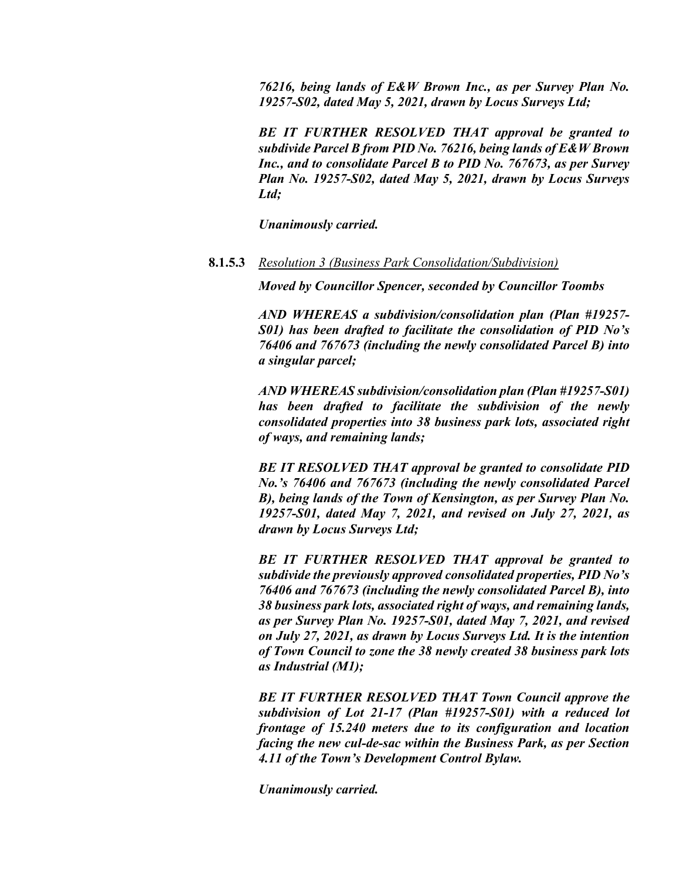*76216, being lands of E&W Brown Inc., as per Survey Plan No. 19257-S02, dated May 5, 2021, drawn by Locus Surveys Ltd;*

*BE IT FURTHER RESOLVED THAT approval be granted to subdivide Parcel B from PID No. 76216, being lands of E&W Brown Inc., and to consolidate Parcel B to PID No. 767673, as per Survey Plan No. 19257-S02, dated May 5, 2021, drawn by Locus Surveys Ltd;* 

*Unanimously carried.*

### **8.1.5.3** *Resolution 3 (Business Park Consolidation/Subdivision)*

*Moved by Councillor Spencer, seconded by Councillor Toombs*

*AND WHEREAS a subdivision/consolidation plan (Plan #19257- S01) has been drafted to facilitate the consolidation of PID No's 76406 and 767673 (including the newly consolidated Parcel B) into a singular parcel;*

*AND WHEREAS subdivision/consolidation plan (Plan #19257-S01) has been drafted to facilitate the subdivision of the newly consolidated properties into 38 business park lots, associated right of ways, and remaining lands;*

*BE IT RESOLVED THAT approval be granted to consolidate PID No.'s 76406 and 767673 (including the newly consolidated Parcel B), being lands of the Town of Kensington, as per Survey Plan No. 19257-S01, dated May 7, 2021, and revised on July 27, 2021, as drawn by Locus Surveys Ltd;* 

*BE IT FURTHER RESOLVED THAT approval be granted to subdivide the previously approved consolidated properties, PID No's 76406 and 767673 (including the newly consolidated Parcel B), into 38 business park lots, associated right of ways, and remaining lands, as per Survey Plan No. 19257-S01, dated May 7, 2021, and revised on July 27, 2021, as drawn by Locus Surveys Ltd. It is the intention of Town Council to zone the 38 newly created 38 business park lots as Industrial (M1);*

*BE IT FURTHER RESOLVED THAT Town Council approve the subdivision of Lot 21-17 (Plan #19257-S01) with a reduced lot frontage of 15.240 meters due to its configuration and location facing the new cul-de-sac within the Business Park, as per Section 4.11 of the Town's Development Control Bylaw.* 

*Unanimously carried.*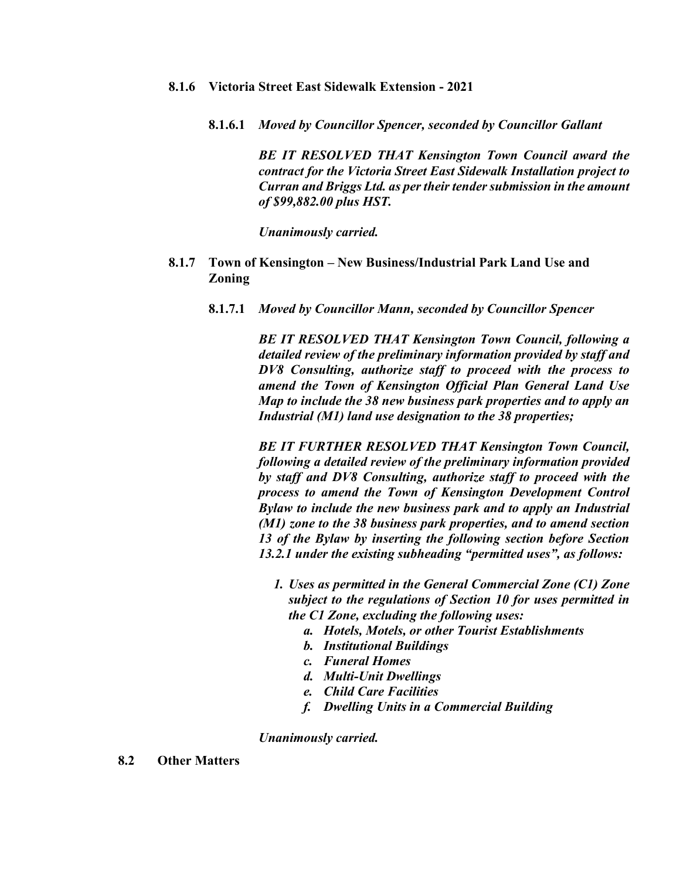- **8.1.6 Victoria Street East Sidewalk Extension - 2021**
	- **8.1.6.1** *Moved by Councillor Spencer, seconded by Councillor Gallant*

*BE IT RESOLVED THAT Kensington Town Council award the contract for the Victoria Street East Sidewalk Installation project to Curran and Briggs Ltd. as per their tender submission in the amount of \$99,882.00 plus HST.*

*Unanimously carried.*

- **8.1.7 Town of Kensington – New Business/Industrial Park Land Use and Zoning**
	- **8.1.7.1** *Moved by Councillor Mann, seconded by Councillor Spencer*

*BE IT RESOLVED THAT Kensington Town Council, following a detailed review of the preliminary information provided by staff and DV8 Consulting, authorize staff to proceed with the process to amend the Town of Kensington Official Plan General Land Use Map to include the 38 new business park properties and to apply an Industrial (M1) land use designation to the 38 properties;*

*BE IT FURTHER RESOLVED THAT Kensington Town Council, following a detailed review of the preliminary information provided by staff and DV8 Consulting, authorize staff to proceed with the process to amend the Town of Kensington Development Control Bylaw to include the new business park and to apply an Industrial (M1) zone to the 38 business park properties, and to amend section 13 of the Bylaw by inserting the following section before Section 13.2.1 under the existing subheading "permitted uses", as follows:*

- *1. Uses as permitted in the General Commercial Zone (C1) Zone subject to the regulations of Section 10 for uses permitted in the C1 Zone, excluding the following uses:*
	- *a. Hotels, Motels, or other Tourist Establishments*
	- *b. Institutional Buildings*
	- *c. Funeral Homes*
	- *d. Multi-Unit Dwellings*
	- *e. Child Care Facilities*
	- *f. Dwelling Units in a Commercial Building*

*Unanimously carried.* 

**8.2 Other Matters**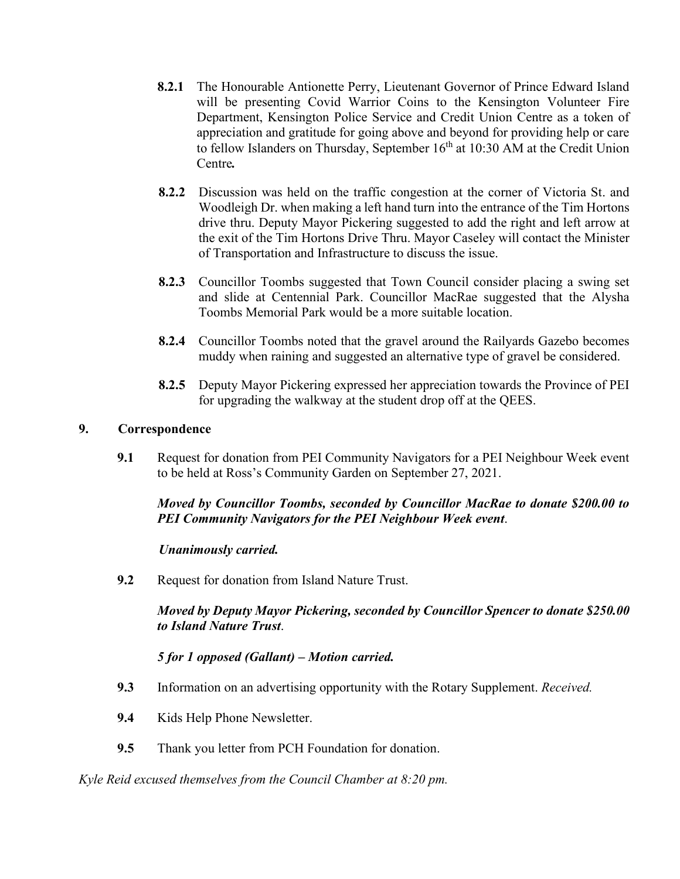- **8.2.1** The Honourable Antionette Perry, Lieutenant Governor of Prince Edward Island will be presenting Covid Warrior Coins to the Kensington Volunteer Fire Department, Kensington Police Service and Credit Union Centre as a token of appreciation and gratitude for going above and beyond for providing help or care to fellow Islanders on Thursday, September  $16<sup>th</sup>$  at 10:30 AM at the Credit Union Centre*.*
- **8.2.2** Discussion was held on the traffic congestion at the corner of Victoria St. and Woodleigh Dr. when making a left hand turn into the entrance of the Tim Hortons drive thru. Deputy Mayor Pickering suggested to add the right and left arrow at the exit of the Tim Hortons Drive Thru. Mayor Caseley will contact the Minister of Transportation and Infrastructure to discuss the issue.
- **8.2.3** Councillor Toombs suggested that Town Council consider placing a swing set and slide at Centennial Park. Councillor MacRae suggested that the Alysha Toombs Memorial Park would be a more suitable location.
- **8.2.4** Councillor Toombs noted that the gravel around the Railyards Gazebo becomes muddy when raining and suggested an alternative type of gravel be considered.
- **8.2.5** Deputy Mayor Pickering expressed her appreciation towards the Province of PEI for upgrading the walkway at the student drop off at the QEES.

## **9. Correspondence**

**9.1** Request for donation from PEI Community Navigators for a PEI Neighbour Week event to be held at Ross's Community Garden on September 27, 2021.

*Moved by Councillor Toombs, seconded by Councillor MacRae to donate \$200.00 to PEI Community Navigators for the PEI Neighbour Week event*.

### *Unanimously carried.*

**9.2** Request for donation from Island Nature Trust.

*Moved by Deputy Mayor Pickering, seconded by Councillor Spencer to donate \$250.00 to Island Nature Trust*.

*5 for 1 opposed (Gallant) – Motion carried.*

- **9.3** Information on an advertising opportunity with the Rotary Supplement. *Received.*
- **9.4** Kids Help Phone Newsletter.
- **9.5** Thank you letter from PCH Foundation for donation.

*Kyle Reid excused themselves from the Council Chamber at 8:20 pm.*